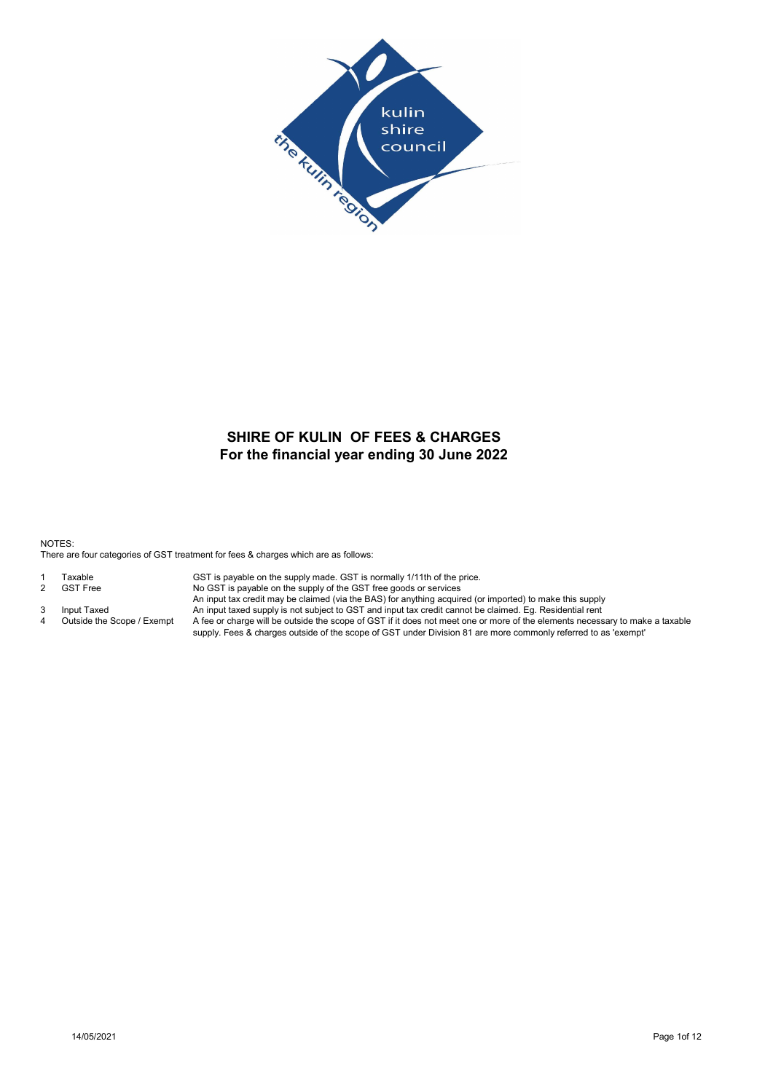

# For the financial year ending 30 June 2022 SHIRE OF KULIN OF FEES & CHARGES

NOTES: There are four categories of GST treatment for fees & charges which are as follows:

- 
- 
- 
- 

1 Taxable GST is payable on the supply made. GST is normally 1/11th of the price.<br>2 GST Free SNo GST is payable on the supply of the GST free goods or services No GST is payable on the supply of the GST free goods or services

An input tax credit may be claimed (via the BAS) for anything acquired (or imported) to make this supply

3 Input Taxed An input taxed supply is not subject to GST and input tax credit cannot be claimed. Eg. Residential rent 4 Outside the Scope / Exempt A fee or charge will be outside the scope of GST if it does not meet one or more of the elements necessary to make a taxable supply. Fees & charges outside of the scope of GST under Division 81 are more commonly referred to as 'exempt'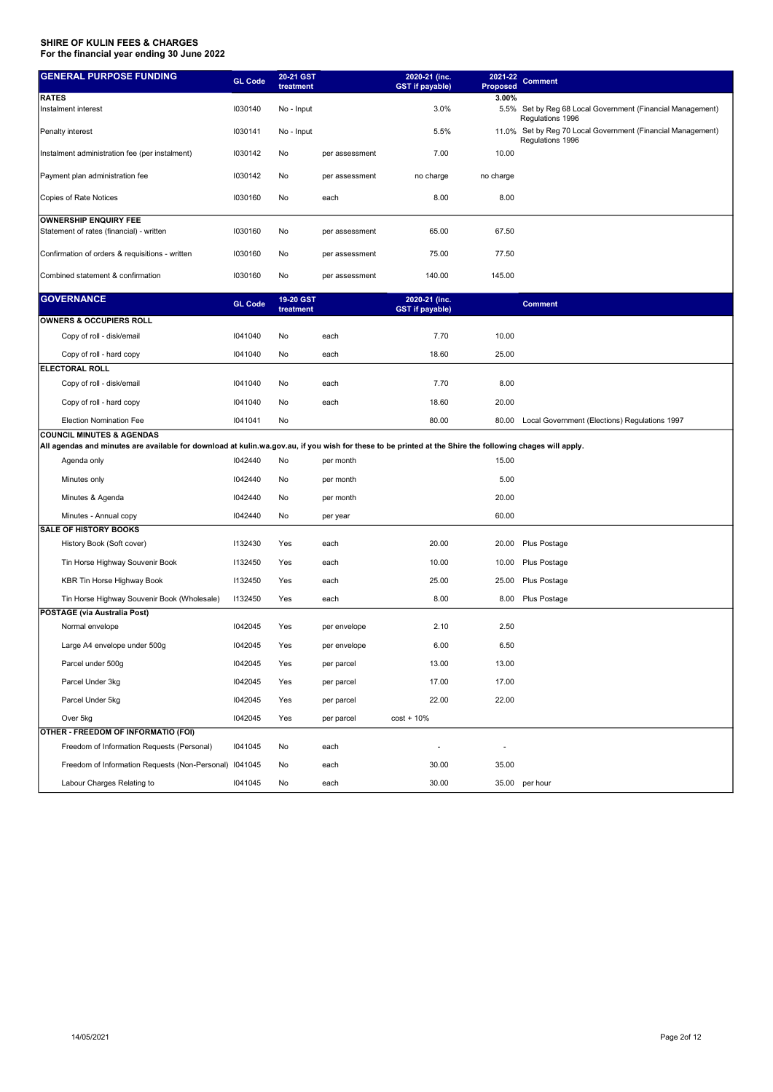| <b>GENERAL PURPOSE FUNDING</b>                                                                                                                           | <b>GL Code</b> | 20-21 GST<br>treatment |                | 2020-21 (inc.<br><b>GST</b> if payable) | 2021-22<br>Proposed | <b>Comment</b>                                                                                      |
|----------------------------------------------------------------------------------------------------------------------------------------------------------|----------------|------------------------|----------------|-----------------------------------------|---------------------|-----------------------------------------------------------------------------------------------------|
| <b>RATES</b><br>Instalment interest                                                                                                                      | 1030140        | No - Input             |                | 3.0%                                    | 3.00%               | 5.5% Set by Reg 68 Local Government (Financial Management)                                          |
| Penalty interest                                                                                                                                         | 1030141        | No - Input             |                | 5.5%                                    |                     | Regulations 1996<br>11.0% Set by Reg 70 Local Government (Financial Management)<br>Regulations 1996 |
| Instalment administration fee (per instalment)                                                                                                           | 1030142        | No                     | per assessment | 7.00                                    | 10.00               |                                                                                                     |
| Payment plan administration fee                                                                                                                          | 1030142        | No                     | per assessment | no charge                               | no charge           |                                                                                                     |
| Copies of Rate Notices                                                                                                                                   | 1030160        | No                     | each           | 8.00                                    | 8.00                |                                                                                                     |
| <b>OWNERSHIP ENQUIRY FEE</b><br>Statement of rates (financial) - written                                                                                 | 1030160        | No                     | per assessment | 65.00                                   | 67.50               |                                                                                                     |
| Confirmation of orders & requisitions - written                                                                                                          | 1030160        | No                     | per assessment | 75.00                                   | 77.50               |                                                                                                     |
| Combined statement & confirmation                                                                                                                        | 1030160        | No                     | per assessment | 140.00                                  | 145.00              |                                                                                                     |
| <b>GOVERNANCE</b>                                                                                                                                        | <b>GL Code</b> | 19-20 GST<br>treatment |                | 2020-21 (inc.<br><b>GST</b> if payable) |                     | <b>Comment</b>                                                                                      |
| OWNERS & OCCUPIERS ROLL                                                                                                                                  |                |                        |                |                                         |                     |                                                                                                     |
| Copy of roll - disk/email                                                                                                                                | 1041040        | No                     | each           | 7.70                                    | 10.00               |                                                                                                     |
| Copy of roll - hard copy                                                                                                                                 | 1041040        | No                     | each           | 18.60                                   | 25.00               |                                                                                                     |
| <b>ELECTORAL ROLL</b>                                                                                                                                    |                |                        |                |                                         |                     |                                                                                                     |
| Copy of roll - disk/email                                                                                                                                | 1041040        | No                     | each           | 7.70                                    | 8.00                |                                                                                                     |
| Copy of roll - hard copy                                                                                                                                 | 1041040        | No                     | each           | 18.60                                   | 20.00               |                                                                                                     |
| <b>Election Nomination Fee</b>                                                                                                                           | 1041041        | No                     |                | 80.00                                   | 80.00               | Local Government (Elections) Regulations 1997                                                       |
| <b>COUNCIL MINUTES &amp; AGENDAS</b>                                                                                                                     |                |                        |                |                                         |                     |                                                                                                     |
| All agendas and minutes are available for download at kulin.wa.gov.au, if you wish for these to be printed at the Shire the following chages will apply. |                |                        |                |                                         |                     |                                                                                                     |
| Agenda only                                                                                                                                              | 1042440        | No                     | per month      |                                         | 15.00               |                                                                                                     |
| Minutes only                                                                                                                                             | 1042440        | No                     | per month      |                                         | 5.00                |                                                                                                     |
| Minutes & Agenda                                                                                                                                         | 1042440        | No                     | per month      |                                         | 20.00               |                                                                                                     |
| Minutes - Annual copy                                                                                                                                    | 1042440        | No                     | per year       |                                         | 60.00               |                                                                                                     |
| <b>SALE OF HISTORY BOOKS</b>                                                                                                                             |                |                        |                |                                         |                     |                                                                                                     |
| History Book (Soft cover)                                                                                                                                | 1132430        | Yes                    | each           | 20.00                                   | 20.00               | Plus Postage                                                                                        |
| Tin Horse Highway Souvenir Book                                                                                                                          | 1132450        | Yes                    | each           | 10.00                                   | 10.00               | Plus Postage                                                                                        |
| KBR Tin Horse Highway Book                                                                                                                               | 1132450        | Yes                    | each           | 25.00                                   | 25.00               | Plus Postage                                                                                        |
| Tin Horse Highway Souvenir Book (Wholesale)                                                                                                              | 1132450        | Yes                    | each           | 8.00                                    | 8.00                | Plus Postage                                                                                        |
| POSTAGE (via Australia Post)                                                                                                                             |                |                        |                |                                         |                     |                                                                                                     |
| Normal envelope                                                                                                                                          | 1042045        | Yes                    | per envelope   | 2.10                                    | 2.50                |                                                                                                     |
| Large A4 envelope under 500g                                                                                                                             | 1042045        | Yes                    | per envelope   | 6.00                                    | 6.50                |                                                                                                     |
| Parcel under 500g                                                                                                                                        | 1042045        | Yes                    | per parcel     | 13.00                                   | 13.00               |                                                                                                     |
| Parcel Under 3kg                                                                                                                                         | 1042045        | Yes                    | per parcel     | 17.00                                   | 17.00               |                                                                                                     |
| Parcel Under 5kg                                                                                                                                         | 1042045        | Yes                    | per parcel     | 22.00                                   | 22.00               |                                                                                                     |
| Over 5kg                                                                                                                                                 | 1042045        | Yes                    | per parcel     | $cost + 10%$                            |                     |                                                                                                     |
| OTHER - FREEDOM OF INFORMATIO (FOI)                                                                                                                      |                |                        |                |                                         |                     |                                                                                                     |
| Freedom of Information Requests (Personal)                                                                                                               | 1041045        | No                     | each           |                                         |                     |                                                                                                     |
| Freedom of Information Requests (Non-Personal) I041045                                                                                                   |                | No                     | each           | 30.00                                   | 35.00               |                                                                                                     |
| Labour Charges Relating to                                                                                                                               | 1041045        | No                     | each           | 30.00                                   |                     | 35.00 per hour                                                                                      |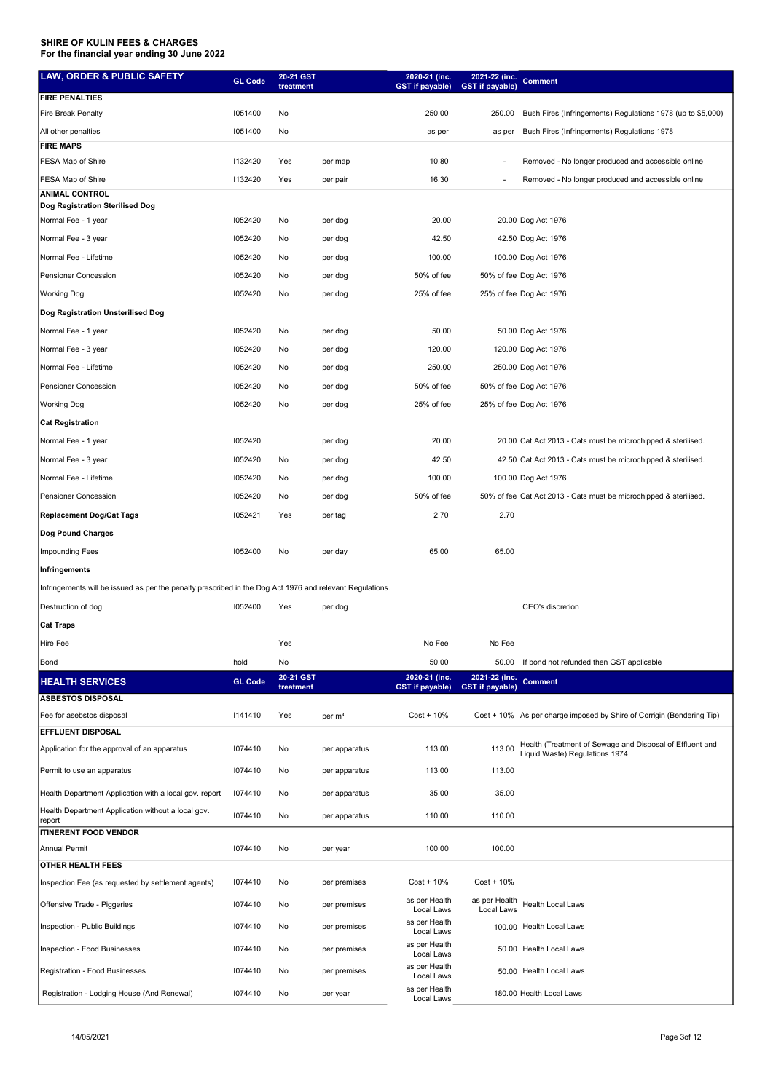| <b>LAW, ORDER &amp; PUBLIC SAFETY</b>                                                                    | <b>GL Code</b> | 20-21 GST<br>treatment |                    | 2020-21 (inc.<br><b>GST</b> if payable) | 2021-22 (inc.<br><b>GST</b> if payable) | <b>Comment</b>                                                        |
|----------------------------------------------------------------------------------------------------------|----------------|------------------------|--------------------|-----------------------------------------|-----------------------------------------|-----------------------------------------------------------------------|
| <b>FIRE PENALTIES</b>                                                                                    |                |                        |                    |                                         |                                         |                                                                       |
| <b>Fire Break Penalty</b>                                                                                | 1051400        | No                     |                    | 250.00                                  | 250.00                                  | Bush Fires (Infringements) Regulations 1978 (up to \$5,000)           |
| All other penalties                                                                                      | 1051400        | No                     |                    | as per                                  | as per                                  | Bush Fires (Infringements) Regulations 1978                           |
| <b>FIRE MAPS</b>                                                                                         |                |                        |                    |                                         |                                         |                                                                       |
| FESA Map of Shire                                                                                        | 1132420        | Yes                    | per map            | 10.80                                   | $\overline{\phantom{a}}$                | Removed - No longer produced and accessible online                    |
| FESA Map of Shire<br><b>ANIMAL CONTROL</b>                                                               | 1132420        | Yes                    | per pair           | 16.30                                   | $\overline{\phantom{a}}$                | Removed - No longer produced and accessible online                    |
| Dog Registration Sterilised Dog                                                                          |                |                        |                    |                                         |                                         |                                                                       |
| Normal Fee - 1 year                                                                                      | 1052420        | No                     | per dog            | 20.00                                   |                                         | 20.00 Dog Act 1976                                                    |
| Normal Fee - 3 year                                                                                      | 1052420        | No                     | per dog            | 42.50                                   |                                         | 42.50 Dog Act 1976                                                    |
| Normal Fee - Lifetime                                                                                    | 1052420        | No                     | per dog            | 100.00                                  |                                         | 100.00 Dog Act 1976                                                   |
| Pensioner Concession                                                                                     | 1052420        | No                     | per dog            | 50% of fee                              |                                         | 50% of fee Dog Act 1976                                               |
| <b>Working Dog</b>                                                                                       | 1052420        | No                     | per dog            | 25% of fee                              |                                         | 25% of fee Dog Act 1976                                               |
| Dog Registration Unsterilised Dog                                                                        |                |                        |                    |                                         |                                         |                                                                       |
| Normal Fee - 1 year                                                                                      | 1052420        | No                     | per dog            | 50.00                                   |                                         | 50.00 Dog Act 1976                                                    |
| Normal Fee - 3 year                                                                                      | 1052420        | No                     | per dog            | 120.00                                  |                                         | 120.00 Dog Act 1976                                                   |
| Normal Fee - Lifetime                                                                                    | 1052420        | No                     | per dog            | 250.00                                  |                                         | 250.00 Dog Act 1976                                                   |
| <b>Pensioner Concession</b>                                                                              | 1052420        | No                     | per dog            | 50% of fee                              |                                         | 50% of fee Dog Act 1976                                               |
| <b>Working Dog</b>                                                                                       | 1052420        | No                     | per dog            | 25% of fee                              |                                         | 25% of fee Dog Act 1976                                               |
| <b>Cat Registration</b>                                                                                  |                |                        |                    |                                         |                                         |                                                                       |
| Normal Fee - 1 year                                                                                      | 1052420        |                        | per dog            | 20.00                                   |                                         | 20.00 Cat Act 2013 - Cats must be microchipped & sterilised.          |
| Normal Fee - 3 year                                                                                      | 1052420        | No                     | per dog            | 42.50                                   |                                         | 42.50 Cat Act 2013 - Cats must be microchipped & sterilised.          |
| Normal Fee - Lifetime                                                                                    | 1052420        | No                     | per dog            | 100.00                                  |                                         | 100.00 Dog Act 1976                                                   |
|                                                                                                          |                |                        |                    |                                         |                                         |                                                                       |
| Pensioner Concession                                                                                     | 1052420        | No                     | per dog            | 50% of fee                              |                                         | 50% of fee Cat Act 2013 - Cats must be microchipped & sterilised.     |
| <b>Replacement Dog/Cat Tags</b>                                                                          | 1052421        | Yes                    | per tag            | 2.70                                    | 2.70                                    |                                                                       |
| Dog Pound Charges                                                                                        |                |                        |                    |                                         |                                         |                                                                       |
| Impounding Fees                                                                                          | 1052400        | No                     | per day            | 65.00                                   | 65.00                                   |                                                                       |
| Infringements                                                                                            |                |                        |                    |                                         |                                         |                                                                       |
| Infringements will be issued as per the penalty prescribed in the Dog Act 1976 and relevant Regulations. |                |                        |                    |                                         |                                         |                                                                       |
| Destruction of dog                                                                                       | 1052400        | Yes                    | per dog            |                                         |                                         | CEO's discretion                                                      |
| <b>Cat Traps</b>                                                                                         |                |                        |                    |                                         |                                         |                                                                       |
| Hire Fee                                                                                                 |                | Yes                    |                    | No Fee                                  | No Fee                                  |                                                                       |
| Bond                                                                                                     | hold           | No                     |                    | 50.00                                   |                                         | 50.00 If bond not refunded then GST applicable                        |
| <b>HEALTH SERVICES</b>                                                                                   | <b>GL Code</b> | 20-21 GST<br>treatment |                    | 2020-21 (inc.<br><b>GST</b> if payable) | 2021-22 (inc.<br><b>GST</b> if payable) | <b>Comment</b>                                                        |
| <b>ASBESTOS DISPOSAL</b>                                                                                 |                |                        |                    |                                         |                                         |                                                                       |
| Fee for asebstos disposal                                                                                | 1141410        | Yes                    | per m <sup>3</sup> | $Cost + 10\%$                           |                                         | Cost + 10% As per charge imposed by Shire of Corrigin (Bendering Tip) |
| <b>EFFLUENT DISPOSAL</b>                                                                                 |                |                        |                    |                                         |                                         | Health (Treatment of Sewage and Disposal of Effluent and              |
| Application for the approval of an apparatus                                                             | 1074410        | No                     | per apparatus      | 113.00                                  | 113.00                                  | Liquid Waste) Regulations 1974                                        |
| Permit to use an apparatus                                                                               | 1074410        | No                     | per apparatus      | 113.00                                  | 113.00                                  |                                                                       |
| Health Department Application with a local gov. report                                                   | 1074410        | No                     | per apparatus      | 35.00                                   | 35.00                                   |                                                                       |
| Health Department Application without a local gov.                                                       | 1074410        | No                     | per apparatus      | 110.00                                  | 110.00                                  |                                                                       |
| report<br><b>ITINERENT FOOD VENDOR</b>                                                                   |                |                        |                    |                                         |                                         |                                                                       |
| <b>Annual Permit</b>                                                                                     | 1074410        | No                     | per year           | 100.00                                  | 100.00                                  |                                                                       |
| <b>OTHER HEALTH FEES</b>                                                                                 |                |                        |                    |                                         |                                         |                                                                       |
| Inspection Fee (as requested by settlement agents)                                                       | 1074410        | No                     | per premises       | $Cost + 10%$                            | $Cost + 10%$                            |                                                                       |
| Offensive Trade - Piggeries                                                                              | 1074410        | No                     | per premises       | as per Health<br>Local Laws             | as per Health<br>Local Laws             | Health Local Laws                                                     |
| Inspection - Public Buildings                                                                            | 1074410        | No                     | per premises       | as per Health<br>Local Laws             |                                         | 100.00 Health Local Laws                                              |
| Inspection - Food Businesses                                                                             | 1074410        | No                     | per premises       | as per Health                           |                                         | 50.00 Health Local Laws                                               |
| Registration - Food Businesses                                                                           | 1074410        | No                     | per premises       | Local Laws<br>as per Health             |                                         | 50.00 Health Local Laws                                               |
|                                                                                                          |                |                        |                    | Local Laws<br>as per Health             |                                         |                                                                       |
| Registration - Lodging House (And Renewal)                                                               | 1074410        | No                     | per year           | Local Laws                              |                                         | 180.00 Health Local Laws                                              |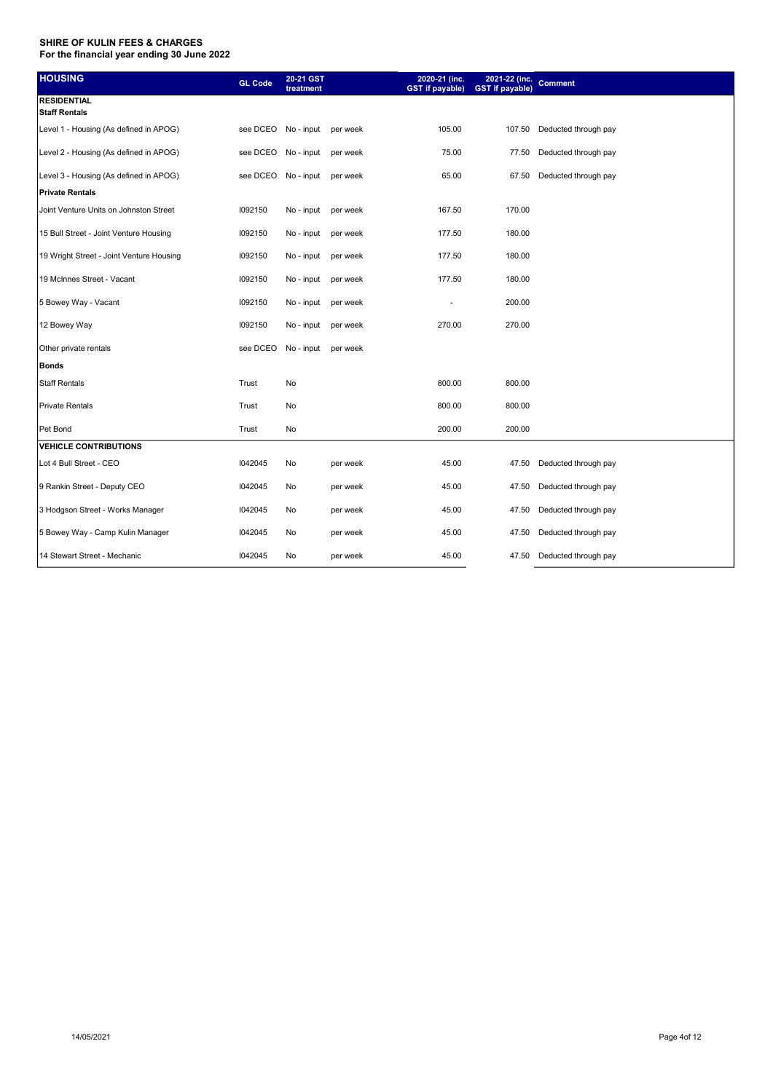| <b>HOUSING</b>                             | <b>GL Code</b> | 20-21 GST<br>treatment       |          | 2020-21 (inc.<br><b>GST</b> if payable) | $2021 - 22$ (inc.<br><b>GST</b> if payable) | <b>Comment</b>              |
|--------------------------------------------|----------------|------------------------------|----------|-----------------------------------------|---------------------------------------------|-----------------------------|
| <b>RESIDENTIAL</b><br><b>Staff Rentals</b> |                |                              |          |                                         |                                             |                             |
| Level 1 - Housing (As defined in APOG)     |                | see DCEO No - input per week |          | 105.00                                  |                                             | 107.50 Deducted through pay |
| Level 2 - Housing (As defined in APOG)     | see DCEO       | No - input                   | per week | 75.00                                   | 77.50                                       | Deducted through pay        |
| Level 3 - Housing (As defined in APOG)     | see DCEO       | No-input per week            |          | 65.00                                   | 67.50                                       | Deducted through pay        |
| <b>Private Rentals</b>                     |                |                              |          |                                         |                                             |                             |
| Joint Venture Units on Johnston Street     | 1092150        | No-input per week            |          | 167.50                                  | 170.00                                      |                             |
| 15 Bull Street - Joint Venture Housing     | 1092150        | No - input                   | per week | 177.50                                  | 180.00                                      |                             |
| 19 Wright Street - Joint Venture Housing   | 1092150        | No - input                   | per week | 177.50                                  | 180.00                                      |                             |
| 19 McInnes Street - Vacant                 | 1092150        | No - input                   | per week | 177.50                                  | 180.00                                      |                             |
| 5 Bowey Way - Vacant                       | 1092150        | No - input                   | per week | $\frac{1}{2}$                           | 200.00                                      |                             |
| 12 Bowey Way                               | 1092150        | No - input                   | per week | 270.00                                  | 270.00                                      |                             |
| Other private rentals                      | see DCEO       | No - input                   | per week |                                         |                                             |                             |
| <b>Bonds</b>                               |                |                              |          |                                         |                                             |                             |
| <b>Staff Rentals</b>                       | Trust          | No                           |          | 800.00                                  | 800.00                                      |                             |
| Private Rentals                            | Trust          | No                           |          | 800.00                                  | 800.00                                      |                             |
| Pet Bond                                   | Trust          | No                           |          | 200.00                                  | 200.00                                      |                             |
| <b>VEHICLE CONTRIBUTIONS</b>               |                |                              |          |                                         |                                             |                             |
| Lot 4 Bull Street - CEO                    | 1042045        | No                           | per week | 45.00                                   | 47.50                                       | Deducted through pay        |
| 9 Rankin Street - Deputy CEO               | I042045        | No                           | per week | 45.00                                   | 47.50                                       | Deducted through pay        |
| 3 Hodgson Street - Works Manager           | 1042045        | No                           | per week | 45.00                                   | 47.50                                       | Deducted through pay        |
| 5 Bowey Way - Camp Kulin Manager           | 1042045        | No                           | per week | 45.00                                   | 47.50                                       | Deducted through pay        |
| 14 Stewart Street - Mechanic               | I042045        | No                           | per week | 45.00                                   | 47.50                                       | Deducted through pay        |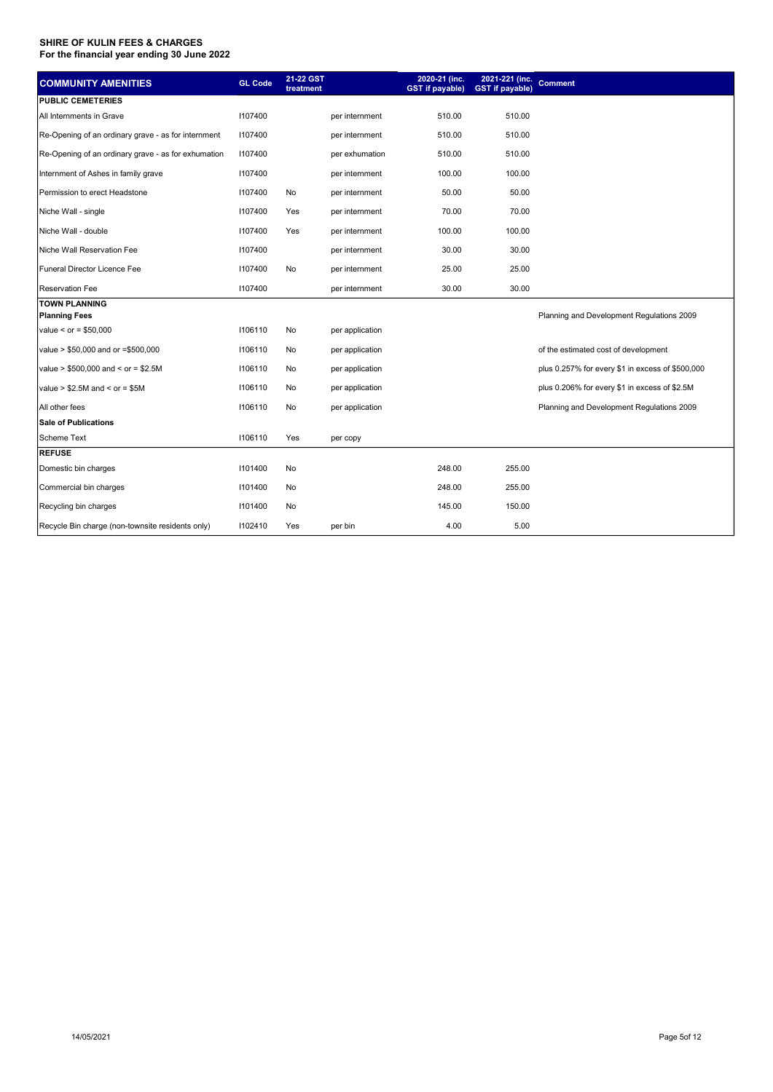| <b>COMMUNITY AMENITIES</b>                          | <b>GL Code</b> | 21-22 GST |                 | 2020-21 (inc.          | 2021-221 (inc.         | <b>Comment</b>                                   |
|-----------------------------------------------------|----------------|-----------|-----------------|------------------------|------------------------|--------------------------------------------------|
|                                                     |                | treatment |                 | <b>GST</b> if payable) | <b>GST</b> if payable) |                                                  |
| <b>PUBLIC CEMETERIES</b>                            |                |           |                 |                        |                        |                                                  |
| All Internments in Grave                            | 1107400        |           | per internment  | 510.00                 | 510.00                 |                                                  |
| Re-Opening of an ordinary grave - as for internment | 1107400        |           | per internment  | 510.00                 | 510.00                 |                                                  |
| Re-Opening of an ordinary grave - as for exhumation | 1107400        |           | per exhumation  | 510.00                 | 510.00                 |                                                  |
| Internment of Ashes in family grave                 | 1107400        |           | per internment  | 100.00                 | 100.00                 |                                                  |
| Permission to erect Headstone                       | 1107400        | No        | per internment  | 50.00                  | 50.00                  |                                                  |
| Niche Wall - single                                 | 1107400        | Yes       | per internment  | 70.00                  | 70.00                  |                                                  |
| Niche Wall - double                                 | 1107400        | Yes       | per internment  | 100.00                 | 100.00                 |                                                  |
| Niche Wall Reservation Fee                          | 1107400        |           | per internment  | 30.00                  | 30.00                  |                                                  |
| Funeral Director Licence Fee                        | 1107400        | No        | per internment  | 25.00                  | 25.00                  |                                                  |
| <b>Reservation Fee</b>                              | 1107400        |           | per internment  | 30.00                  | 30.00                  |                                                  |
| <b>TOWN PLANNING</b>                                |                |           |                 |                        |                        |                                                  |
| <b>Planning Fees</b>                                |                |           |                 |                        |                        | Planning and Development Regulations 2009        |
| value < $or = $50,000$                              | 1106110        | No        | per application |                        |                        |                                                  |
| value > \$50,000 and or =\$500,000                  | 1106110        | No        | per application |                        |                        | of the estimated cost of development             |
| value > $$500,000$ and < or = $$2.5M$               | 1106110        | No        | per application |                        |                        | plus 0.257% for every \$1 in excess of \$500,000 |
| value $> $2.5M$ and $<$ or = \$5M                   | 1106110        | No        | per application |                        |                        | plus 0.206% for every \$1 in excess of \$2.5M    |
| All other fees                                      | 1106110        | No        | per application |                        |                        | Planning and Development Regulations 2009        |
| <b>Sale of Publications</b>                         |                |           |                 |                        |                        |                                                  |
| <b>Scheme Text</b>                                  | 1106110        | Yes       | per copy        |                        |                        |                                                  |
| <b>REFUSE</b>                                       |                |           |                 |                        |                        |                                                  |
| Domestic bin charges                                | 1101400        | No        |                 | 248.00                 | 255.00                 |                                                  |
| Commercial bin charges                              | 1101400        | No        |                 | 248.00                 | 255.00                 |                                                  |
| Recycling bin charges                               | 1101400        | No        |                 | 145.00                 | 150.00                 |                                                  |
| Recycle Bin charge (non-townsite residents only)    | 1102410        | Yes       | per bin         | 4.00                   | 5.00                   |                                                  |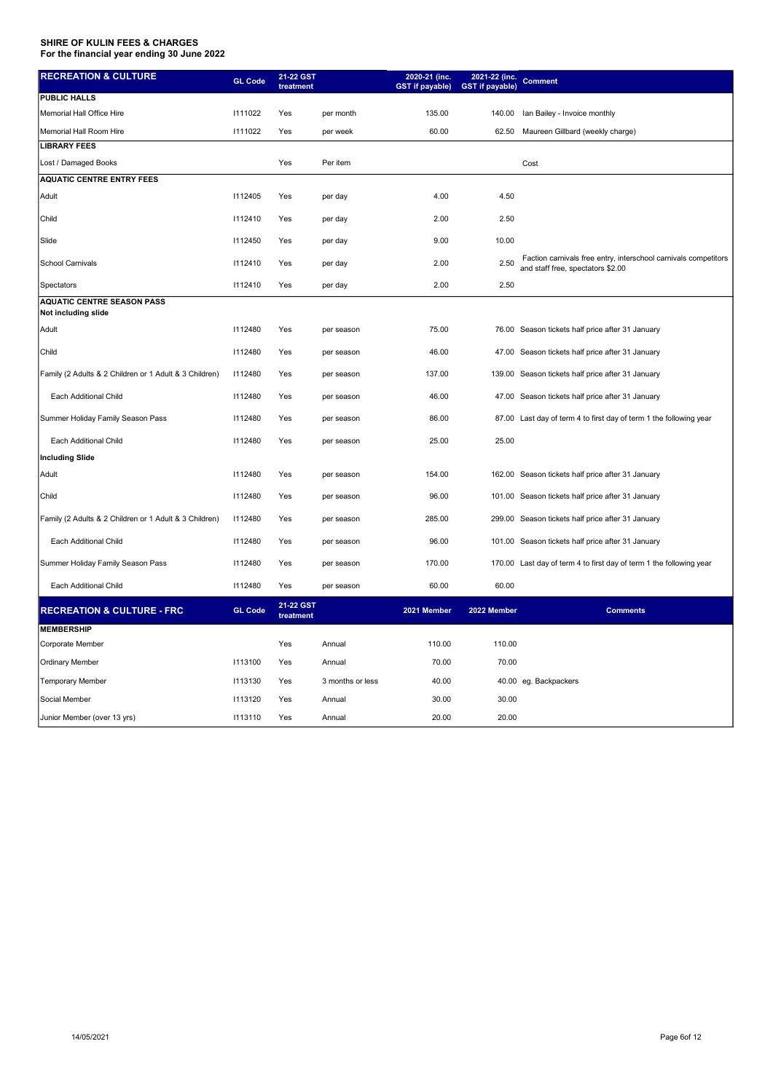| <b>RECREATION &amp; CULTURE</b>                          | <b>GL Code</b> | 21-22 GST<br>treatment |                  | 2020-21 (inc.<br><b>GST</b> if payable) | 2021-22 (inc.<br><b>GST</b> if payable) | <b>Comment</b>                                                                                       |
|----------------------------------------------------------|----------------|------------------------|------------------|-----------------------------------------|-----------------------------------------|------------------------------------------------------------------------------------------------------|
| <b>PUBLIC HALLS</b>                                      |                |                        |                  |                                         |                                         |                                                                                                      |
| Memorial Hall Office Hire                                | 1111022        | Yes                    | per month        | 135.00                                  | 140.00                                  | Ian Bailey - Invoice monthly                                                                         |
| Memorial Hall Room Hire                                  | 1111022        | Yes                    | per week         | 60.00                                   | 62.50                                   | Maureen Gillbard (weekly charge)                                                                     |
| <b>LIBRARY FEES</b>                                      |                |                        |                  |                                         |                                         |                                                                                                      |
| Lost / Damaged Books                                     |                | Yes                    | Per item         |                                         |                                         | Cost                                                                                                 |
| <b>AQUATIC CENTRE ENTRY FEES</b>                         |                |                        |                  |                                         |                                         |                                                                                                      |
| Adult                                                    | 1112405        | Yes                    | per day          | 4.00                                    | 4.50                                    |                                                                                                      |
| Child                                                    | 1112410        | Yes                    | per day          | 2.00                                    | 2.50                                    |                                                                                                      |
| Slide                                                    | 1112450        | Yes                    | per day          | 9.00                                    | 10.00                                   |                                                                                                      |
| <b>School Carnivals</b>                                  | 1112410        | Yes                    | per day          | 2.00                                    | 2.50                                    | Faction carnivals free entry, interschool carnivals competitors<br>and staff free, spectators \$2.00 |
| Spectators                                               | 1112410        | Yes                    | per day          | 2.00                                    | 2.50                                    |                                                                                                      |
| <b>AQUATIC CENTRE SEASON PASS</b><br>Not including slide |                |                        |                  |                                         |                                         |                                                                                                      |
| Adult                                                    | 1112480        | Yes                    | per season       | 75.00                                   |                                         | 76.00 Season tickets half price after 31 January                                                     |
| Child                                                    | 1112480        | Yes                    | per season       | 46.00                                   |                                         | 47.00 Season tickets half price after 31 January                                                     |
| Family (2 Adults & 2 Children or 1 Adult & 3 Children)   | 1112480        | Yes                    | per season       | 137.00                                  |                                         | 139.00 Season tickets half price after 31 January                                                    |
| Each Additional Child                                    | 1112480        | Yes                    | per season       | 46.00                                   |                                         | 47.00 Season tickets half price after 31 January                                                     |
| Summer Holiday Family Season Pass                        | 1112480        | Yes                    | per season       | 86.00                                   |                                         | 87.00 Last day of term 4 to first day of term 1 the following year                                   |
| Each Additional Child                                    | 1112480        | Yes                    | per season       | 25.00                                   | 25.00                                   |                                                                                                      |
| <b>Including Slide</b>                                   |                |                        |                  |                                         |                                         |                                                                                                      |
| Adult                                                    | 1112480        | Yes                    | per season       | 154.00                                  |                                         | 162.00 Season tickets half price after 31 January                                                    |
| Child                                                    | 1112480        | Yes                    | per season       | 96.00                                   |                                         | 101.00 Season tickets half price after 31 January                                                    |
| Family (2 Adults & 2 Children or 1 Adult & 3 Children)   | 1112480        | Yes                    | per season       | 285.00                                  |                                         | 299.00 Season tickets half price after 31 January                                                    |
| Each Additional Child                                    | 1112480        | Yes                    | per season       | 96.00                                   |                                         | 101.00 Season tickets half price after 31 January                                                    |
| Summer Holiday Family Season Pass                        | 1112480        | Yes                    | per season       | 170.00                                  |                                         | 170.00 Last day of term 4 to first day of term 1 the following year                                  |
| Each Additional Child                                    | 1112480        | Yes                    | per season       | 60.00                                   | 60.00                                   |                                                                                                      |
| <b>RECREATION &amp; CULTURE - FRC</b>                    | <b>GL Code</b> | 21-22 GST<br>treatment |                  | 2021 Member                             | 2022 Member                             | <b>Comments</b>                                                                                      |
| <b>MEMBERSHIP</b>                                        |                |                        |                  |                                         |                                         |                                                                                                      |
| Corporate Member                                         |                | Yes                    | Annual           | 110.00                                  | 110.00                                  |                                                                                                      |
| <b>Ordinary Member</b>                                   | 1113100        | Yes                    | Annual           | 70.00                                   | 70.00                                   |                                                                                                      |
| <b>Temporary Member</b>                                  | 1113130        | Yes                    | 3 months or less | 40.00                                   |                                         | 40.00 eg. Backpackers                                                                                |
| Social Member                                            | 1113120        | Yes                    | Annual           | 30.00                                   | 30.00                                   |                                                                                                      |
| Junior Member (over 13 yrs)                              | 1113110        | Yes                    | Annual           | 20.00                                   | 20.00                                   |                                                                                                      |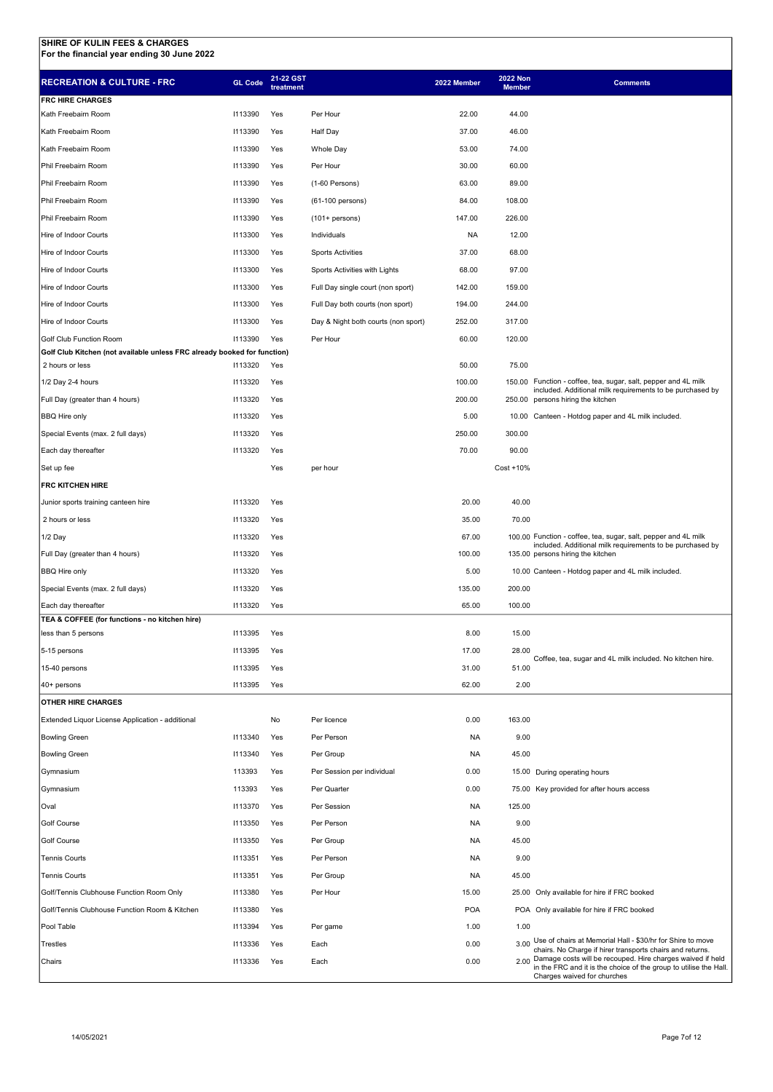| <b>RECREATION &amp; CULTURE - FRC</b>                                    | <b>GL Code</b> | 21-22 GST<br>treatment |                                     | 2022 Member | <b>2022 Non</b><br><b>Member</b> | <b>Comments</b>                                                                                                              |
|--------------------------------------------------------------------------|----------------|------------------------|-------------------------------------|-------------|----------------------------------|------------------------------------------------------------------------------------------------------------------------------|
| <b>FRC HIRE CHARGES</b>                                                  |                |                        |                                     |             |                                  |                                                                                                                              |
| Kath Freebairn Room                                                      | 1113390        | Yes                    | Per Hour                            | 22.00       | 44.00                            |                                                                                                                              |
| Kath Freebairn Room                                                      | 1113390        | Yes                    | Half Day                            | 37.00       | 46.00                            |                                                                                                                              |
| Kath Freebairn Room                                                      | 1113390        | Yes                    | <b>Whole Day</b>                    | 53.00       | 74.00                            |                                                                                                                              |
| Phil Freebairn Room                                                      | 1113390        | Yes                    | Per Hour                            | 30.00       | 60.00                            |                                                                                                                              |
| Phil Freebairn Room                                                      | 1113390        | Yes                    | (1-60 Persons)                      | 63.00       | 89.00                            |                                                                                                                              |
| Phil Freebairn Room                                                      | 1113390        | Yes                    | (61-100 persons)                    | 84.00       | 108.00                           |                                                                                                                              |
| Phil Freebairn Room                                                      | 1113390        | Yes                    | $(101+$ persons)                    | 147.00      | 226.00                           |                                                                                                                              |
| Hire of Indoor Courts                                                    | 1113300        | Yes                    | Individuals                         | NA          | 12.00                            |                                                                                                                              |
| Hire of Indoor Courts                                                    | 1113300        | Yes                    | <b>Sports Activities</b>            | 37.00       | 68.00                            |                                                                                                                              |
| Hire of Indoor Courts                                                    | 1113300        | Yes                    | Sports Activities with Lights       | 68.00       | 97.00                            |                                                                                                                              |
| Hire of Indoor Courts                                                    | 1113300        | Yes                    | Full Day single court (non sport)   | 142.00      | 159.00                           |                                                                                                                              |
| Hire of Indoor Courts                                                    | 1113300        | Yes                    | Full Day both courts (non sport)    | 194.00      | 244.00                           |                                                                                                                              |
| Hire of Indoor Courts                                                    | 1113300        | Yes                    | Day & Night both courts (non sport) | 252.00      | 317.00                           |                                                                                                                              |
| Golf Club Function Room                                                  | 1113390        | Yes                    | Per Hour                            | 60.00       | 120.00                           |                                                                                                                              |
| Golf Club Kitchen (not available unless FRC already booked for function) |                |                        |                                     |             |                                  |                                                                                                                              |
| 2 hours or less                                                          | 1113320        | Yes                    |                                     | 50.00       | 75.00                            |                                                                                                                              |
| 1/2 Day 2-4 hours                                                        | 1113320        | Yes                    |                                     | 100.00      |                                  | 150.00 Function - coffee, tea, sugar, salt, pepper and 4L milk<br>included. Additional milk requirements to be purchased by  |
| Full Day (greater than 4 hours)                                          | 1113320        | Yes                    |                                     | 200.00      |                                  | 250.00 persons hiring the kitchen                                                                                            |
| <b>BBQ Hire only</b>                                                     | 1113320        | Yes                    |                                     | 5.00        |                                  | 10.00 Canteen - Hotdog paper and 4L milk included.                                                                           |
| Special Events (max. 2 full days)                                        | 1113320        | Yes                    |                                     | 250.00      | 300.00                           |                                                                                                                              |
| Each day thereafter                                                      | 1113320        | Yes                    |                                     | 70.00       | 90.00                            |                                                                                                                              |
| Set up fee                                                               |                | Yes                    | per hour                            |             | Cost +10%                        |                                                                                                                              |
| <b>FRC KITCHEN HIRE</b>                                                  |                |                        |                                     |             |                                  |                                                                                                                              |
| Junior sports training canteen hire                                      | 1113320        | Yes                    |                                     | 20.00       | 40.00                            |                                                                                                                              |
| 2 hours or less                                                          | 1113320        | Yes                    |                                     | 35.00       | 70.00                            |                                                                                                                              |
| 1/2 Day                                                                  | 1113320        | Yes                    |                                     | 67.00       |                                  | 100.00 Function - coffee, tea, sugar, salt, pepper and 4L milk<br>included. Additional milk requirements to be purchased by  |
| Full Day (greater than 4 hours)                                          | 1113320        | Yes                    |                                     | 100.00      |                                  | 135.00 persons hiring the kitchen                                                                                            |
| <b>BBQ Hire only</b>                                                     | 1113320        | Yes                    |                                     | 5.00        |                                  | 10.00 Canteen - Hotdog paper and 4L milk included.                                                                           |
| Special Events (max. 2 full days)                                        | 1113320        | Yes                    |                                     | 135.00      | 200.00                           |                                                                                                                              |
| Each day thereafter                                                      | 1113320        | Yes                    |                                     | 65.00       | 100.00                           |                                                                                                                              |
| TEA & COFFEE (for functions - no kitchen hire)<br>less than 5 persons    | 1113395        | Yes                    |                                     | 8.00        | 15.00                            |                                                                                                                              |
| 5-15 persons                                                             | 1113395        | Yes                    |                                     | 17.00       | 28.00                            |                                                                                                                              |
| 15-40 persons                                                            | 1113395        | Yes                    |                                     | 31.00       | 51.00                            | Coffee, tea, sugar and 4L milk included. No kitchen hire.                                                                    |
| 40+ persons                                                              | 1113395        | Yes                    |                                     | 62.00       | 2.00                             |                                                                                                                              |
| <b>OTHER HIRE CHARGES</b>                                                |                |                        |                                     |             |                                  |                                                                                                                              |
| Extended Liquor License Application - additional                         |                | No                     | Per licence                         | 0.00        | 163.00                           |                                                                                                                              |
| <b>Bowling Green</b>                                                     | 1113340        | Yes                    | Per Person                          | NA          | 9.00                             |                                                                                                                              |
| <b>Bowling Green</b>                                                     | 1113340        | Yes                    | Per Group                           | <b>NA</b>   | 45.00                            |                                                                                                                              |
| Gymnasium                                                                | 113393         | Yes                    | Per Session per individual          | 0.00        |                                  | 15.00 During operating hours                                                                                                 |
| Gymnasium                                                                | 113393         | Yes                    | Per Quarter                         | 0.00        |                                  | 75.00 Key provided for after hours access                                                                                    |
| Oval                                                                     | 1113370        | Yes                    | Per Session                         | NA          | 125.00                           |                                                                                                                              |
| Golf Course                                                              | 1113350        | Yes                    | Per Person                          | <b>NA</b>   | 9.00                             |                                                                                                                              |
| Golf Course                                                              | 1113350        | Yes                    | Per Group                           | <b>NA</b>   | 45.00                            |                                                                                                                              |
| <b>Tennis Courts</b>                                                     | 1113351        | Yes                    | Per Person                          | NA          | 9.00                             |                                                                                                                              |
| <b>Tennis Courts</b>                                                     | 1113351        | Yes                    | Per Group                           | <b>NA</b>   | 45.00                            |                                                                                                                              |
| Golf/Tennis Clubhouse Function Room Only                                 | 1113380        | Yes                    | Per Hour                            | 15.00       |                                  |                                                                                                                              |
| Golf/Tennis Clubhouse Function Room & Kitchen                            | 1113380        | Yes                    |                                     | <b>POA</b>  |                                  | 25.00 Only available for hire if FRC booked<br>POA Only available for hire if FRC booked                                     |
| Pool Table                                                               | 1113394        | Yes                    | Per game                            | 1.00        | 1.00                             |                                                                                                                              |
| Trestles                                                                 | 1113336        | Yes                    | Each                                | 0.00        |                                  | 3.00 Use of chairs at Memorial Hall - \$30/hr for Shire to move                                                              |
| Chairs                                                                   | 1113336        | Yes                    | Each                                | 0.00        |                                  | chairs. No Charge if hirer transports chairs and returns.<br>2.00 Damage costs will be recouped. Hire charges waived if held |
|                                                                          |                |                        |                                     |             |                                  | in the FRC and it is the choice of the group to utilise the Hall.<br>Charges waived for churches                             |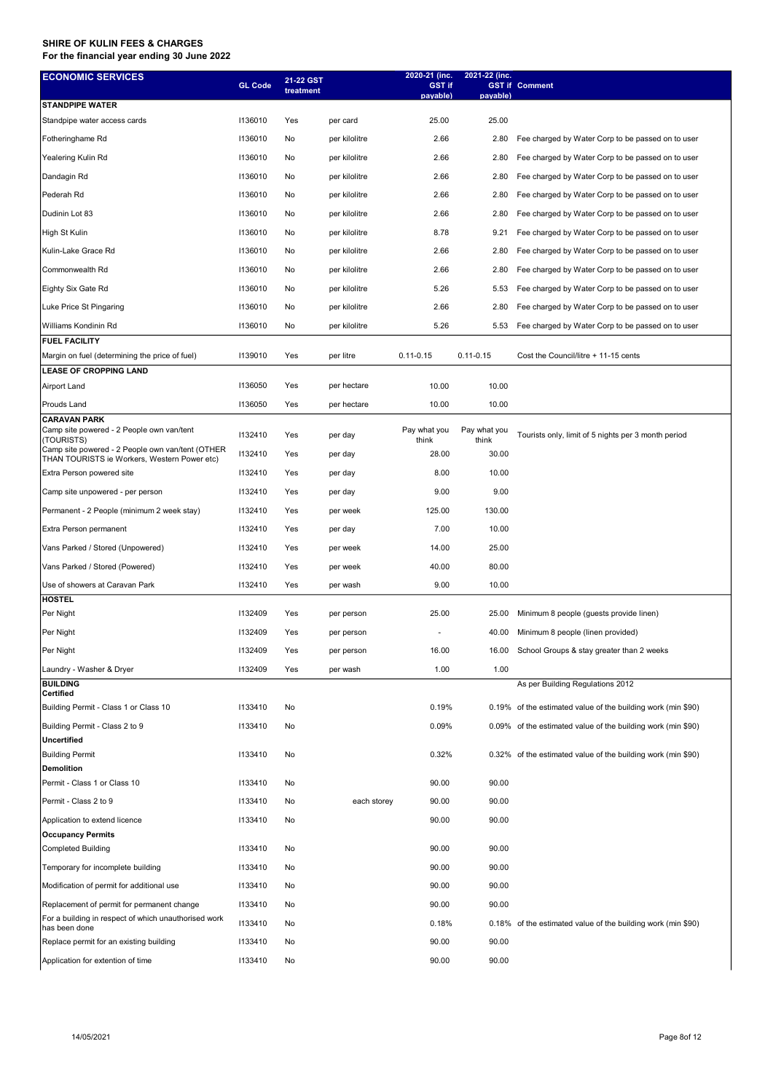| <b>ECONOMIC SERVICES</b>                                                                           | <b>GL Code</b> | 21-22 GST<br>treatment |               | 2020-21 (inc.<br><b>GST if</b><br>payable) | 2021-22 (inc.<br>payable) | <b>GST if Comment</b>                                        |
|----------------------------------------------------------------------------------------------------|----------------|------------------------|---------------|--------------------------------------------|---------------------------|--------------------------------------------------------------|
| <b>STANDPIPE WATER</b>                                                                             |                |                        |               |                                            |                           |                                                              |
| Standpipe water access cards                                                                       | 1136010        | Yes                    | per card      | 25.00                                      | 25.00                     |                                                              |
| Fotheringhame Rd                                                                                   | 1136010        | No                     | per kilolitre | 2.66                                       | 2.80                      | Fee charged by Water Corp to be passed on to user            |
| Yealering Kulin Rd                                                                                 | 1136010        | No                     | per kilolitre | 2.66                                       | 2.80                      | Fee charged by Water Corp to be passed on to user            |
| Dandagin Rd                                                                                        | 1136010        | No                     | per kilolitre | 2.66                                       | 2.80                      | Fee charged by Water Corp to be passed on to user            |
| Pederah Rd                                                                                         | 1136010        | No                     | per kilolitre | 2.66                                       | 2.80                      | Fee charged by Water Corp to be passed on to user            |
| Dudinin Lot 83                                                                                     | 1136010        | No                     | per kilolitre | 2.66                                       | 2.80                      | Fee charged by Water Corp to be passed on to user            |
|                                                                                                    | 1136010        |                        |               |                                            |                           |                                                              |
| High St Kulin                                                                                      |                | No                     | per kilolitre | 8.78                                       | 9.21                      | Fee charged by Water Corp to be passed on to user            |
| Kulin-Lake Grace Rd                                                                                | 1136010        | No                     | per kilolitre | 2.66                                       | 2.80                      | Fee charged by Water Corp to be passed on to user            |
| Commonwealth Rd                                                                                    | 1136010        | No                     | per kilolitre | 2.66                                       | 2.80                      | Fee charged by Water Corp to be passed on to user            |
| Eighty Six Gate Rd                                                                                 | 1136010        | No                     | per kilolitre | 5.26                                       | 5.53                      | Fee charged by Water Corp to be passed on to user            |
| Luke Price St Pingaring                                                                            | 1136010        | No                     | per kilolitre | 2.66                                       | 2.80                      | Fee charged by Water Corp to be passed on to user            |
| Williams Kondinin Rd                                                                               | 1136010        | No                     | per kilolitre | 5.26                                       | 5.53                      | Fee charged by Water Corp to be passed on to user            |
| <b>FUEL FACILITY</b>                                                                               |                |                        |               |                                            |                           |                                                              |
| Margin on fuel (determining the price of fuel)                                                     | 1139010        | Yes                    | per litre     | $0.11 - 0.15$                              | $0.11 - 0.15$             | Cost the Council/litre + 11-15 cents                         |
| <b>LEASE OF CROPPING LAND</b>                                                                      |                |                        |               |                                            |                           |                                                              |
| <b>Airport Land</b>                                                                                | 1136050        | Yes                    | per hectare   | 10.00                                      | 10.00                     |                                                              |
| Prouds Land                                                                                        | 1136050        | Yes                    | per hectare   | 10.00                                      | 10.00                     |                                                              |
| <b>CARAVAN PARK</b><br>Camp site powered - 2 People own van/tent<br>(TOURISTS)                     | 1132410        | Yes                    | per day       | Pay what you<br>think                      | Pay what you<br>think     | Tourists only, limit of 5 nights per 3 month period          |
| Camp site powered - 2 People own van/tent (OTHER<br>THAN TOURISTS ie Workers, Western Power etc)   | 1132410        | Yes                    | per day       | 28.00                                      | 30.00                     |                                                              |
| Extra Person powered site                                                                          | 1132410        | Yes                    | per day       | 8.00                                       | 10.00                     |                                                              |
| Camp site unpowered - per person                                                                   | 1132410        | Yes                    | per day       | 9.00                                       | 9.00                      |                                                              |
| Permanent - 2 People (minimum 2 week stay)                                                         | 1132410        | Yes                    | per week      | 125.00                                     | 130.00                    |                                                              |
| Extra Person permanent                                                                             | 1132410        | Yes                    | per day       | 7.00                                       | 10.00                     |                                                              |
| Vans Parked / Stored (Unpowered)                                                                   | 1132410        | Yes                    | per week      | 14.00                                      | 25.00                     |                                                              |
| Vans Parked / Stored (Powered)                                                                     | 1132410        | Yes                    | per week      | 40.00                                      | 80.00                     |                                                              |
| Use of showers at Caravan Park                                                                     | 1132410        | Yes                    | per wash      | 9.00                                       | 10.00                     |                                                              |
| <b>HOSTEL</b>                                                                                      |                |                        |               |                                            |                           |                                                              |
| Per Night                                                                                          | 1132409        | Yes                    | per person    | 25.00                                      | 25.00                     | Minimum 8 people (guests provide linen)                      |
| Per Night                                                                                          | 1132409        | Yes                    | per person    |                                            | 40.00                     | Minimum 8 people (linen provided)                            |
| Per Night                                                                                          | 1132409        | Yes                    | per person    | 16.00                                      | 16.00                     | School Groups & stay greater than 2 weeks                    |
|                                                                                                    | 1132409        | Yes                    |               | 1.00                                       | 1.00                      |                                                              |
| Laundry - Washer & Dryer<br><b>BUILDING</b>                                                        |                |                        | per wash      |                                            |                           | As per Building Regulations 2012                             |
| Certified                                                                                          |                |                        |               |                                            |                           |                                                              |
| Building Permit - Class 1 or Class 10                                                              | 1133410        | No                     |               | 0.19%                                      |                           | 0.19% of the estimated value of the building work (min \$90) |
| Building Permit - Class 2 to 9                                                                     | 1133410        | No                     |               | 0.09%                                      |                           | 0.09% of the estimated value of the building work (min \$90) |
| Uncertified<br><b>Building Permit</b>                                                              | 1133410        | No                     |               | 0.32%                                      |                           | 0.32% of the estimated value of the building work (min \$90) |
| Demolition                                                                                         |                |                        |               |                                            |                           |                                                              |
| Permit - Class 1 or Class 10                                                                       | 1133410        | No                     |               | 90.00                                      | 90.00                     |                                                              |
| Permit - Class 2 to 9                                                                              | 1133410        | No                     | each storey   | 90.00                                      | 90.00                     |                                                              |
| Application to extend licence                                                                      | 1133410        | No                     |               | 90.00                                      | 90.00                     |                                                              |
| <b>Occupancy Permits</b>                                                                           |                |                        |               |                                            |                           |                                                              |
| <b>Completed Building</b>                                                                          | 1133410        | No                     |               | 90.00                                      | 90.00                     |                                                              |
| Temporary for incomplete building                                                                  | 1133410        | No                     |               | 90.00                                      | 90.00                     |                                                              |
| Modification of permit for additional use                                                          | 1133410        | No                     |               | 90.00                                      | 90.00                     |                                                              |
|                                                                                                    | 1133410        | No                     |               | 90.00                                      | 90.00                     |                                                              |
| Replacement of permit for permanent change<br>For a building in respect of which unauthorised work |                |                        |               |                                            |                           |                                                              |
| has been done                                                                                      | 1133410        | No                     |               | 0.18%                                      |                           | 0.18% of the estimated value of the building work (min \$90) |
| Replace permit for an existing building                                                            | 1133410        | No                     |               | 90.00                                      | 90.00                     |                                                              |
| Application for extention of time                                                                  | 1133410        | No                     |               | 90.00                                      | 90.00                     |                                                              |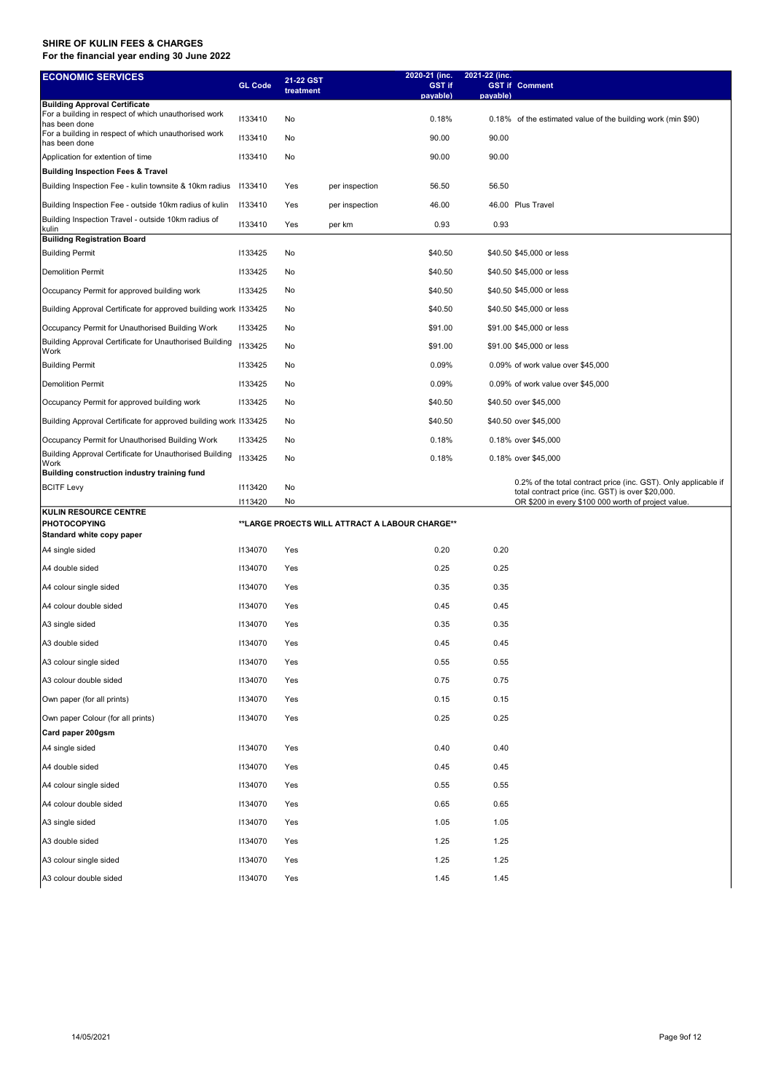| <b>ECONOMIC SERVICES</b>                                                                     |                | 21-22 GST |                                                | 2020-21 (inc.      | 2021-22 (inc. |                                                                 |
|----------------------------------------------------------------------------------------------|----------------|-----------|------------------------------------------------|--------------------|---------------|-----------------------------------------------------------------|
|                                                                                              | <b>GL Code</b> | treatment |                                                | GST if<br>payable) | payable)      | <b>GST if Comment</b>                                           |
| <b>Building Approval Certificate</b><br>For a building in respect of which unauthorised work | 1133410        | No        |                                                | 0.18%              |               | 0.18% of the estimated value of the building work (min \$90)    |
| has been done<br>For a building in respect of which unauthorised work                        | 1133410        | No        |                                                | 90.00              | 90.00         |                                                                 |
| has been done<br>Application for extention of time                                           | 1133410        | No        |                                                | 90.00              | 90.00         |                                                                 |
| <b>Building Inspection Fees &amp; Travel</b>                                                 |                |           |                                                |                    |               |                                                                 |
| Building Inspection Fee - kulin townsite & 10km radius                                       | 1133410        | Yes       | per inspection                                 | 56.50              | 56.50         |                                                                 |
| Building Inspection Fee - outside 10km radius of kulin                                       | 1133410        | Yes       | per inspection                                 | 46.00              |               | 46.00 Plus Travel                                               |
| Building Inspection Travel - outside 10km radius of                                          | 1133410        | Yes       | per km                                         | 0.93               | 0.93          |                                                                 |
| kulin<br><b>Builidng Registration Board</b>                                                  |                |           |                                                |                    |               |                                                                 |
| <b>Building Permit</b>                                                                       | 1133425        | No        |                                                | \$40.50            |               | \$40.50 \$45,000 or less                                        |
| <b>Demolition Permit</b>                                                                     | 1133425        | No        |                                                | \$40.50            |               | \$40.50 \$45,000 or less                                        |
| Occupancy Permit for approved building work                                                  | 1133425        | No        |                                                | \$40.50            |               | \$40.50 \$45,000 or less                                        |
| Building Approval Certificate for approved building work 1133425                             |                | No        |                                                | \$40.50            |               | \$40.50 \$45,000 or less                                        |
| Occupancy Permit for Unauthorised Building Work                                              | 1133425        | No        |                                                | \$91.00            |               | \$91.00 \$45,000 or less                                        |
| Building Approval Certificate for Unauthorised Building<br>Work                              | 1133425        | No        |                                                | \$91.00            |               | \$91.00 \$45,000 or less                                        |
| <b>Building Permit</b>                                                                       | 1133425        | No        |                                                | 0.09%              |               | 0.09% of work value over \$45,000                               |
| <b>Demolition Permit</b>                                                                     | 1133425        | No        |                                                | 0.09%              |               | 0.09% of work value over \$45,000                               |
| Occupancy Permit for approved building work                                                  | 1133425        | No        |                                                | \$40.50            |               | \$40.50 over \$45,000                                           |
| Building Approval Certificate for approved building work 1133425                             |                | No        |                                                | \$40.50            |               | \$40.50 over \$45,000                                           |
| Occupancy Permit for Unauthorised Building Work                                              | 1133425        | No        |                                                | 0.18%              |               | 0.18% over \$45,000                                             |
| Building Approval Certificate for Unauthorised Building<br>Work                              | 1133425        | No        |                                                | 0.18%              |               | 0.18% over \$45,000                                             |
| Building construction industry training fund                                                 |                |           |                                                |                    |               | 0.2% of the total contract price (inc. GST). Only applicable if |
| <b>BCITF Levy</b>                                                                            | 1113420        | No        |                                                |                    |               | total contract price (inc. GST) is over \$20,000.               |
| KULIN RESOURCE CENTRE                                                                        | 1113420        | No        |                                                |                    |               | OR \$200 in every \$100 000 worth of project value.             |
| <b>PHOTOCOPYING</b>                                                                          |                |           | **LARGE PROECTS WILL ATTRACT A LABOUR CHARGE** |                    |               |                                                                 |
| Standard white copy paper                                                                    |                |           |                                                |                    |               |                                                                 |
| A4 single sided                                                                              | 1134070        | Yes       |                                                | 0.20               | 0.20          |                                                                 |
| A4 double sided                                                                              | 1134070        | Yes       |                                                | 0.25               | 0.25          |                                                                 |
| A4 colour single sided                                                                       | 1134070        | Yes       |                                                | 0.35               | 0.35          |                                                                 |
| A4 colour double sided                                                                       | 1134070        | Yes       |                                                | 0.45               | 0.45          |                                                                 |
| A3 single sided                                                                              | 1134070        | Yes       |                                                | 0.35               | 0.35          |                                                                 |
| A3 double sided                                                                              | 1134070        | Yes       |                                                | 0.45               | 0.45          |                                                                 |
| A3 colour single sided                                                                       | 1134070        | Yes       |                                                | 0.55               | 0.55          |                                                                 |
| A3 colour double sided                                                                       | 1134070        | Yes       |                                                | 0.75               | 0.75          |                                                                 |
| Own paper (for all prints)                                                                   | 1134070        | Yes       |                                                | 0.15               | 0.15          |                                                                 |
| Own paper Colour (for all prints)                                                            | 1134070        | Yes       |                                                | 0.25               | 0.25          |                                                                 |
| Card paper 200gsm                                                                            |                |           |                                                |                    |               |                                                                 |
| A4 single sided                                                                              | 1134070        | Yes       |                                                | 0.40               | 0.40          |                                                                 |
| A4 double sided                                                                              | 1134070        | Yes       |                                                | 0.45               | 0.45          |                                                                 |
| A4 colour single sided                                                                       | 1134070        | Yes       |                                                | 0.55               | 0.55          |                                                                 |
| A4 colour double sided                                                                       | 1134070        | Yes       |                                                | 0.65               | 0.65          |                                                                 |
| A3 single sided                                                                              | 1134070        | Yes       |                                                | 1.05               | 1.05          |                                                                 |
| A3 double sided                                                                              | 1134070        | Yes       |                                                | 1.25               | 1.25          |                                                                 |
| A3 colour single sided                                                                       | 1134070        | Yes       |                                                | 1.25               | 1.25          |                                                                 |
| A3 colour double sided                                                                       | 1134070        | Yes       |                                                | 1.45               | 1.45          |                                                                 |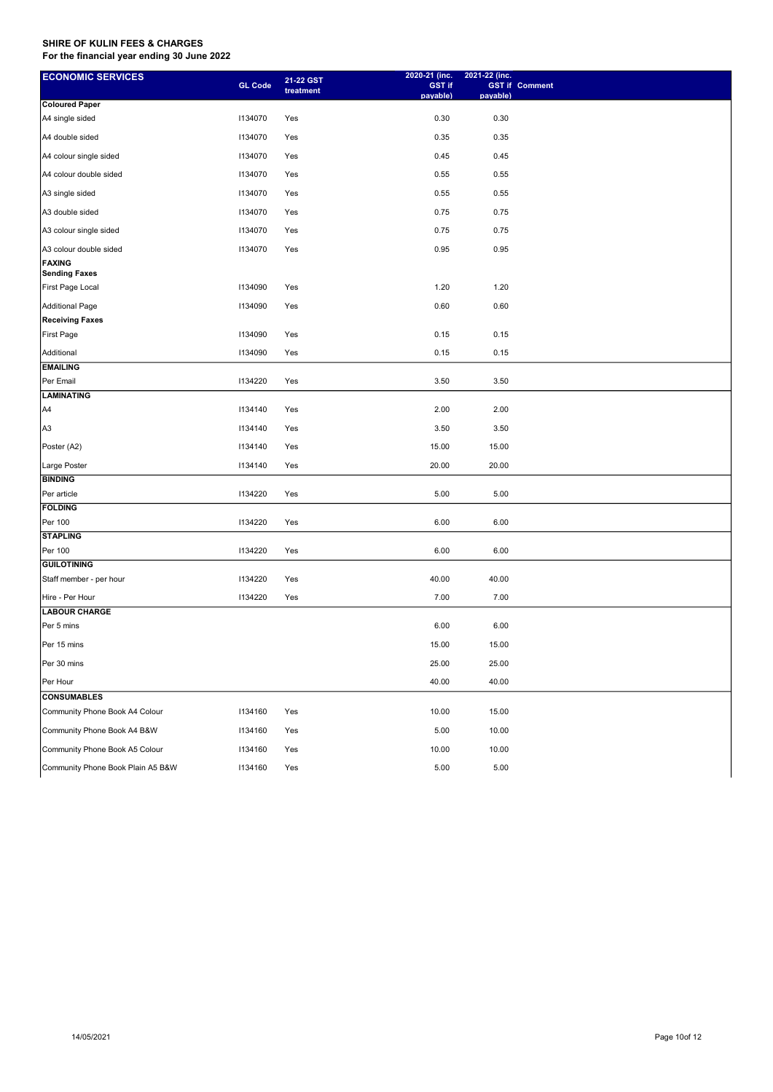| payable)<br>payable)<br><b>Coloured Paper</b><br>A4 single sided<br>1134070<br>Yes<br>0.30<br>0.30<br>0.35<br>0.35<br>A4 double sided<br>1134070<br>Yes<br>0.45<br>A4 colour single sided<br>1134070<br>Yes<br>0.45<br>A4 colour double sided<br>1134070<br>0.55<br>0.55<br>Yes<br>0.55<br>A3 single sided<br>1134070<br>Yes<br>0.55<br>0.75<br>A3 double sided<br>1134070<br>0.75<br>Yes<br>A3 colour single sided<br>1134070<br>0.75<br>0.75<br>Yes<br>0.95<br>0.95<br>A3 colour double sided<br>1134070<br>Yes<br><b>FAXING</b><br><b>Sending Faxes</b><br>First Page Local<br>1134090<br>Yes<br>1.20<br>1.20<br><b>Additional Page</b><br>0.60<br>0.60<br>1134090<br>Yes<br><b>Receiving Faxes</b><br>First Page<br>1134090<br>Yes<br>0.15<br>0.15<br>Additional<br>0.15<br>1134090<br>0.15<br>Yes<br><b>EMAILING</b><br>Per Email<br>3.50<br>1134220<br>Yes<br>3.50 |
|--------------------------------------------------------------------------------------------------------------------------------------------------------------------------------------------------------------------------------------------------------------------------------------------------------------------------------------------------------------------------------------------------------------------------------------------------------------------------------------------------------------------------------------------------------------------------------------------------------------------------------------------------------------------------------------------------------------------------------------------------------------------------------------------------------------------------------------------------------------------------|
|                                                                                                                                                                                                                                                                                                                                                                                                                                                                                                                                                                                                                                                                                                                                                                                                                                                                          |
|                                                                                                                                                                                                                                                                                                                                                                                                                                                                                                                                                                                                                                                                                                                                                                                                                                                                          |
|                                                                                                                                                                                                                                                                                                                                                                                                                                                                                                                                                                                                                                                                                                                                                                                                                                                                          |
|                                                                                                                                                                                                                                                                                                                                                                                                                                                                                                                                                                                                                                                                                                                                                                                                                                                                          |
|                                                                                                                                                                                                                                                                                                                                                                                                                                                                                                                                                                                                                                                                                                                                                                                                                                                                          |
|                                                                                                                                                                                                                                                                                                                                                                                                                                                                                                                                                                                                                                                                                                                                                                                                                                                                          |
|                                                                                                                                                                                                                                                                                                                                                                                                                                                                                                                                                                                                                                                                                                                                                                                                                                                                          |
|                                                                                                                                                                                                                                                                                                                                                                                                                                                                                                                                                                                                                                                                                                                                                                                                                                                                          |
|                                                                                                                                                                                                                                                                                                                                                                                                                                                                                                                                                                                                                                                                                                                                                                                                                                                                          |
|                                                                                                                                                                                                                                                                                                                                                                                                                                                                                                                                                                                                                                                                                                                                                                                                                                                                          |
|                                                                                                                                                                                                                                                                                                                                                                                                                                                                                                                                                                                                                                                                                                                                                                                                                                                                          |
|                                                                                                                                                                                                                                                                                                                                                                                                                                                                                                                                                                                                                                                                                                                                                                                                                                                                          |
|                                                                                                                                                                                                                                                                                                                                                                                                                                                                                                                                                                                                                                                                                                                                                                                                                                                                          |
|                                                                                                                                                                                                                                                                                                                                                                                                                                                                                                                                                                                                                                                                                                                                                                                                                                                                          |
|                                                                                                                                                                                                                                                                                                                                                                                                                                                                                                                                                                                                                                                                                                                                                                                                                                                                          |
|                                                                                                                                                                                                                                                                                                                                                                                                                                                                                                                                                                                                                                                                                                                                                                                                                                                                          |
| <b>LAMINATING</b>                                                                                                                                                                                                                                                                                                                                                                                                                                                                                                                                                                                                                                                                                                                                                                                                                                                        |
| 2.00<br>1134140<br>2.00<br>A4<br>Yes                                                                                                                                                                                                                                                                                                                                                                                                                                                                                                                                                                                                                                                                                                                                                                                                                                     |
| 3.50<br>A <sub>3</sub><br>1134140<br>Yes<br>3.50                                                                                                                                                                                                                                                                                                                                                                                                                                                                                                                                                                                                                                                                                                                                                                                                                         |
| Poster (A2)<br>1134140<br>15.00<br>15.00<br>Yes                                                                                                                                                                                                                                                                                                                                                                                                                                                                                                                                                                                                                                                                                                                                                                                                                          |
| 20.00<br>Large Poster<br>1134140<br>20.00<br>Yes                                                                                                                                                                                                                                                                                                                                                                                                                                                                                                                                                                                                                                                                                                                                                                                                                         |
| <b>BINDING</b>                                                                                                                                                                                                                                                                                                                                                                                                                                                                                                                                                                                                                                                                                                                                                                                                                                                           |
| 1134220<br>5.00<br>5.00<br>Per article<br>Yes                                                                                                                                                                                                                                                                                                                                                                                                                                                                                                                                                                                                                                                                                                                                                                                                                            |
| <b>FOLDING</b>                                                                                                                                                                                                                                                                                                                                                                                                                                                                                                                                                                                                                                                                                                                                                                                                                                                           |
| Per 100<br>1134220<br>6.00<br>6.00<br>Yes                                                                                                                                                                                                                                                                                                                                                                                                                                                                                                                                                                                                                                                                                                                                                                                                                                |
| <b>STAPLING</b>                                                                                                                                                                                                                                                                                                                                                                                                                                                                                                                                                                                                                                                                                                                                                                                                                                                          |
| 6.00<br>Per 100<br>1134220<br>Yes<br>6.00                                                                                                                                                                                                                                                                                                                                                                                                                                                                                                                                                                                                                                                                                                                                                                                                                                |
| <b>GUILOTINING</b>                                                                                                                                                                                                                                                                                                                                                                                                                                                                                                                                                                                                                                                                                                                                                                                                                                                       |
| Staff member - per hour<br>1134220<br>Yes<br>40.00<br>40.00<br>Yes                                                                                                                                                                                                                                                                                                                                                                                                                                                                                                                                                                                                                                                                                                                                                                                                       |
| 7.00<br>7.00<br>Hire - Per Hour<br>1134220                                                                                                                                                                                                                                                                                                                                                                                                                                                                                                                                                                                                                                                                                                                                                                                                                               |
| <b>LABOUR CHARGE</b><br>Per 5 mins<br>6.00<br>6.00                                                                                                                                                                                                                                                                                                                                                                                                                                                                                                                                                                                                                                                                                                                                                                                                                       |
| 15.00<br>Per 15 mins<br>15.00                                                                                                                                                                                                                                                                                                                                                                                                                                                                                                                                                                                                                                                                                                                                                                                                                                            |
| Per 30 mins<br>25.00<br>25.00                                                                                                                                                                                                                                                                                                                                                                                                                                                                                                                                                                                                                                                                                                                                                                                                                                            |
| Per Hour<br>40.00<br>40.00                                                                                                                                                                                                                                                                                                                                                                                                                                                                                                                                                                                                                                                                                                                                                                                                                                               |
| <b>CONSUMABLES</b>                                                                                                                                                                                                                                                                                                                                                                                                                                                                                                                                                                                                                                                                                                                                                                                                                                                       |
| Community Phone Book A4 Colour<br>1134160<br>Yes<br>10.00<br>15.00                                                                                                                                                                                                                                                                                                                                                                                                                                                                                                                                                                                                                                                                                                                                                                                                       |
| 5.00<br>Community Phone Book A4 B&W<br>1134160<br>Yes<br>10.00                                                                                                                                                                                                                                                                                                                                                                                                                                                                                                                                                                                                                                                                                                                                                                                                           |
| Community Phone Book A5 Colour<br>10.00<br>10.00<br>1134160<br>Yes                                                                                                                                                                                                                                                                                                                                                                                                                                                                                                                                                                                                                                                                                                                                                                                                       |
| Community Phone Book Plain A5 B&W<br>5.00<br>1134160<br>Yes<br>5.00                                                                                                                                                                                                                                                                                                                                                                                                                                                                                                                                                                                                                                                                                                                                                                                                      |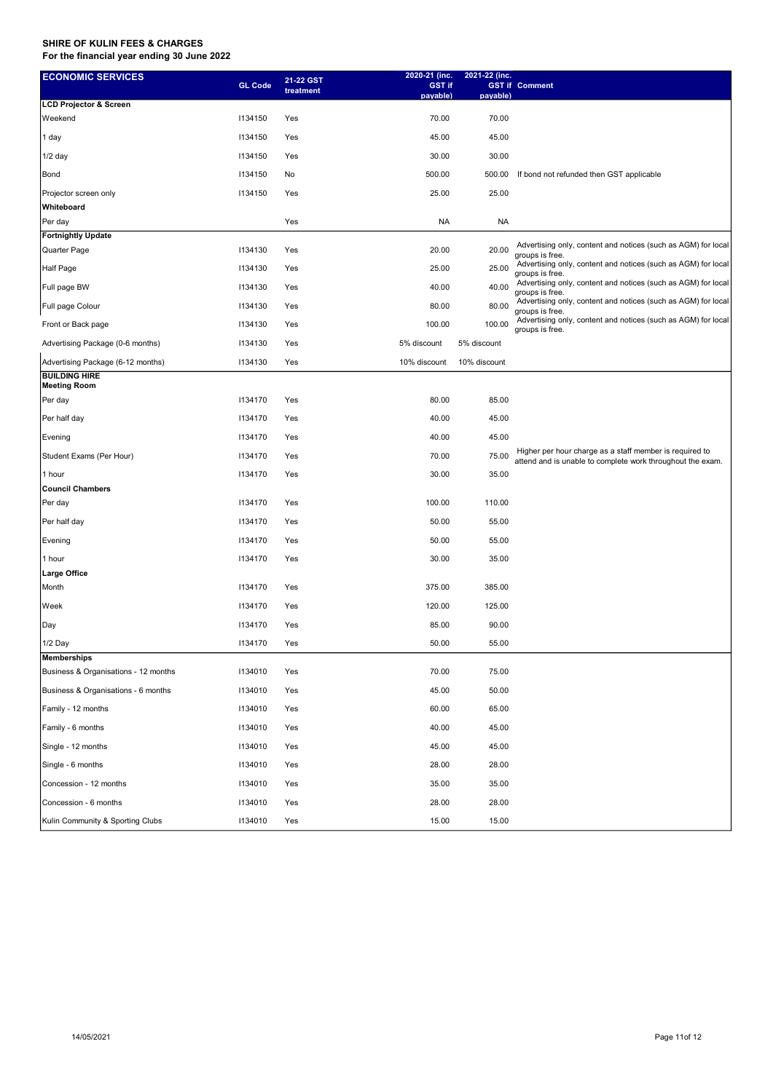| <b>ECONOMIC SERVICES</b>             | <b>GL Code</b> | 21-22 GST | 2020-21 (inc.<br><b>GST if</b> | 2021-22 (inc. | <b>GST if Comment</b>                                                                                                 |
|--------------------------------------|----------------|-----------|--------------------------------|---------------|-----------------------------------------------------------------------------------------------------------------------|
|                                      |                | treatment | payable)                       | payable)      |                                                                                                                       |
| <b>LCD Projector &amp; Screen</b>    |                |           |                                |               |                                                                                                                       |
| Weekend                              | 1134150        | Yes       | 70.00                          | 70.00         |                                                                                                                       |
| 1 day                                | 1134150        | Yes       | 45.00                          | 45.00         |                                                                                                                       |
| 1/2 day                              | 1134150        | Yes       | 30.00                          | 30.00         |                                                                                                                       |
| Bond                                 | 1134150        | No        | 500.00                         | 500.00        | If bond not refunded then GST applicable                                                                              |
| Projector screen only                | 1134150        | Yes       | 25.00                          | 25.00         |                                                                                                                       |
| Whiteboard                           |                |           |                                |               |                                                                                                                       |
| Per day                              |                | Yes       | <b>NA</b>                      | <b>NA</b>     |                                                                                                                       |
| <b>Fortnightly Update</b>            |                |           |                                |               | Advertising only, content and notices (such as AGM) for local                                                         |
| Quarter Page                         | 1134130        | Yes       | 20.00                          | 20.00         | groups is free.                                                                                                       |
| Half Page                            | 1134130        | Yes       | 25.00                          | 25.00         | Advertising only, content and notices (such as AGM) for local<br>groups is free.                                      |
| Full page BW                         | 1134130        | Yes       | 40.00                          | 40.00         | Advertising only, content and notices (such as AGM) for local<br>groups is free.                                      |
| Full page Colour                     | 1134130        | Yes       | 80.00                          | 80.00         | Advertising only, content and notices (such as AGM) for local<br>groups is free.                                      |
| Front or Back page                   | 1134130        | Yes       | 100.00                         | 100.00        | Advertising only, content and notices (such as AGM) for local<br>groups is free.                                      |
| Advertising Package (0-6 months)     | 1134130        | Yes       | 5% discount                    | 5% discount   |                                                                                                                       |
| Advertising Package (6-12 months)    | 1134130        | Yes       | 10% discount                   | 10% discount  |                                                                                                                       |
| <b>BUILDING HIRE</b><br>Meeting Room |                |           |                                |               |                                                                                                                       |
| Per day                              | 1134170        | Yes       | 80.00                          | 85.00         |                                                                                                                       |
| Per half day                         | 1134170        | Yes       | 40.00                          | 45.00         |                                                                                                                       |
| Evening                              | 1134170        | Yes       | 40.00                          | 45.00         |                                                                                                                       |
| Student Exams (Per Hour)             | 1134170        | Yes       | 70.00                          | 75.00         | Higher per hour charge as a staff member is required to<br>attend and is unable to complete work throughout the exam. |
| 1 hour                               | 1134170        | Yes       | 30.00                          | 35.00         |                                                                                                                       |
| <b>Council Chambers</b>              |                |           |                                |               |                                                                                                                       |
| Per day                              | 1134170        | Yes       | 100.00                         | 110.00        |                                                                                                                       |
| Per half day                         | 1134170        | Yes       | 50.00                          | 55.00         |                                                                                                                       |
| Evening                              | 1134170        | Yes       | 50.00                          | 55.00         |                                                                                                                       |
| 1 hour                               | 1134170        | Yes       | 30.00                          | 35.00         |                                                                                                                       |
| Large Office                         |                |           |                                |               |                                                                                                                       |
| Month                                | 1134170        | Yes       | 375.00                         | 385.00        |                                                                                                                       |
| Week                                 | 1134170        | Yes       | 120.00                         | 125.00        |                                                                                                                       |
| Day                                  | 1134170        | Yes       | 85.00                          | 90.00         |                                                                                                                       |
| 1/2 Day                              | 1134170        | Yes       | 50.00                          | 55.00         |                                                                                                                       |
| Memberships                          |                |           |                                |               |                                                                                                                       |
| Business & Organisations - 12 months | 1134010        | Yes       | 70.00                          | 75.00         |                                                                                                                       |
| Business & Organisations - 6 months  | 1134010        | Yes       | 45.00                          | 50.00         |                                                                                                                       |
| Family - 12 months                   | 1134010        | Yes       | 60.00                          | 65.00         |                                                                                                                       |
| Family - 6 months                    | 1134010        | Yes       | 40.00                          | 45.00         |                                                                                                                       |
| Single - 12 months                   | 1134010        | Yes       | 45.00                          | 45.00         |                                                                                                                       |
| Single - 6 months                    | 1134010        | Yes       | 28.00                          | 28.00         |                                                                                                                       |
| Concession - 12 months               | 1134010        | Yes       | 35.00                          | 35.00         |                                                                                                                       |
| Concession - 6 months                | 1134010        | Yes       | 28.00                          | 28.00         |                                                                                                                       |
| Kulin Community & Sporting Clubs     | 1134010        | Yes       | 15.00                          | 15.00         |                                                                                                                       |